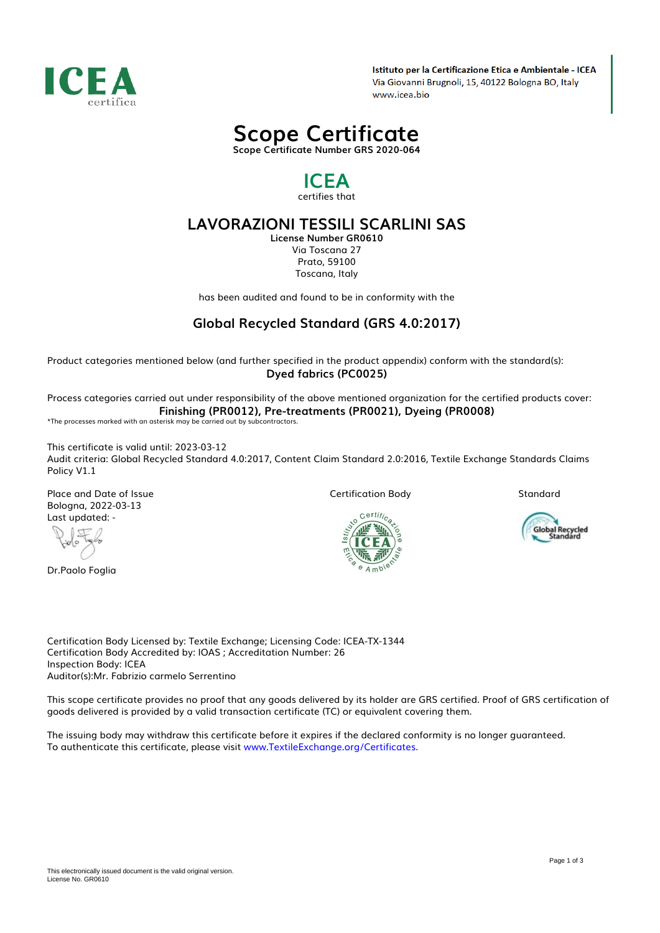

Istituto per la Certificazione Etica e Ambientale - ICEA Via Giovanni Brugnoli, 15, 40122 Bologna BO, Italy www.icea.bio

*Scope Certificate Scope Certificate Number GRS 2020-064*

# *ICEA certifies that*

*LAVORAZIONI TESSILI SCARLINI SAS License Number GR0610 Via Toscana 27 Prato, 59100 Toscana, Italy*

*has been audited and found to be in conformity with the*

# *Global Recycled Standard (GRS 4.0:2017)*

*Product categories mentioned below (and further specified in the product appendix) conform with the standard(s): Dyed fabrics (PC0025)*

*Process categories carried out under responsibility of the above mentioned organization for the certified products cover: Finishing (PR0012), Pre-treatments (PR0021), Dyeing (PR0008)*

*\*The processes marked with an asterisk may be carried out by subcontractors.*

*This certificate is valid until: 2023-03-12 Audit criteria: Global Recycled Standard 4.0:2017, Content Claim Standard 2.0:2016, Textile Exchange Standards Claims Policy V1.1*

*Place and Date of Issue Bologna, 2022-03-13 Last updated: -*

 $\mathbb{C}$ 

*Dr.Paolo Foglia*

*Certification Body*

*Standard*



Global Recycled<br>Standard

*Certification Body Licensed by: Textile Exchange; Licensing Code: ICEA-TX-1344 Certification Body Accredited by: IOAS ; Accreditation Number: 26 Inspection Body: ICEA Auditor(s):Mr. Fabrizio carmelo Serrentino*

*This scope certificate provides no proof that any goods delivered by its holder are GRS certified. Proof of GRS certification of goods delivered is provided by a valid transaction certificate (TC) or equivalent covering them.*

*The issuing body may withdraw this certificate before it expires if the declared conformity is no longer guaranteed. To authenticate this certificate, please visit [www.TextileExchange.org/Certificates](https://www.TextileExchange.org/Certificates).*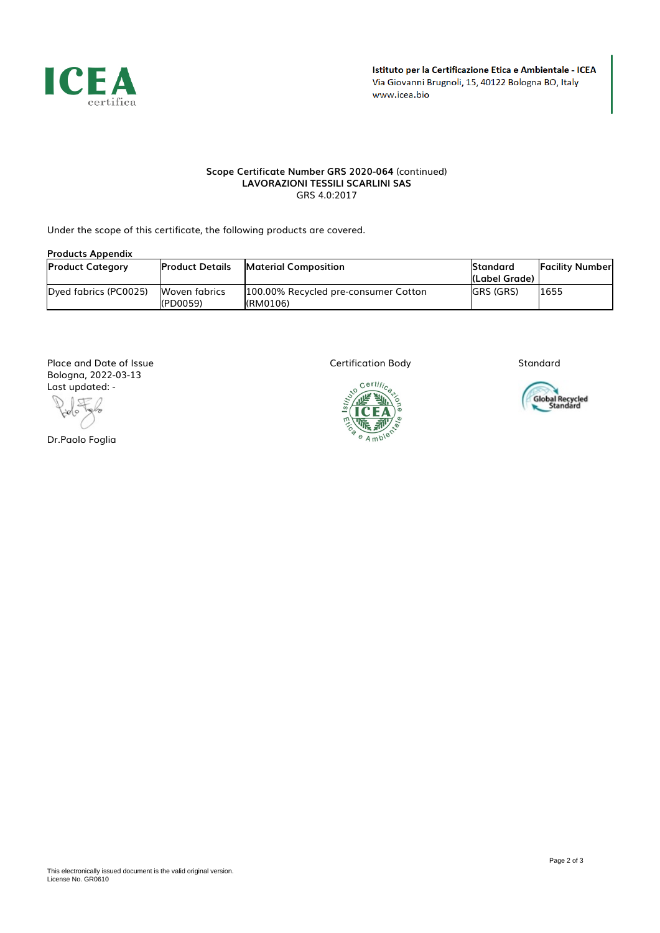

### *Scope Certificate Number GRS 2020-064 (continued) LAVORAZIONI TESSILI SCARLINI SAS GRS 4.0:2017*

*Under the scope of this certificate, the following products are covered.*

## *Products Appendix*

| <b>Product Category</b> | <b>IProduct Details</b>    | <b>IMaterial Composition</b>                      | <b>Standard</b><br>l(Label Grade) | <b>IFacility Numberl</b> |
|-------------------------|----------------------------|---------------------------------------------------|-----------------------------------|--------------------------|
| Dved fabrics (PC0025)   | Woven fabrics<br>I(PD0059) | 1100.00% Recycled pre-consumer Cotton<br>(RM0106) | <b>IGRS (GRS)</b>                 | 1655                     |

*Place and Date of Issue Bologna, 2022-03-13 Last updated: -*

一 ido

*Dr.Paolo Foglia*

*Certification Body*